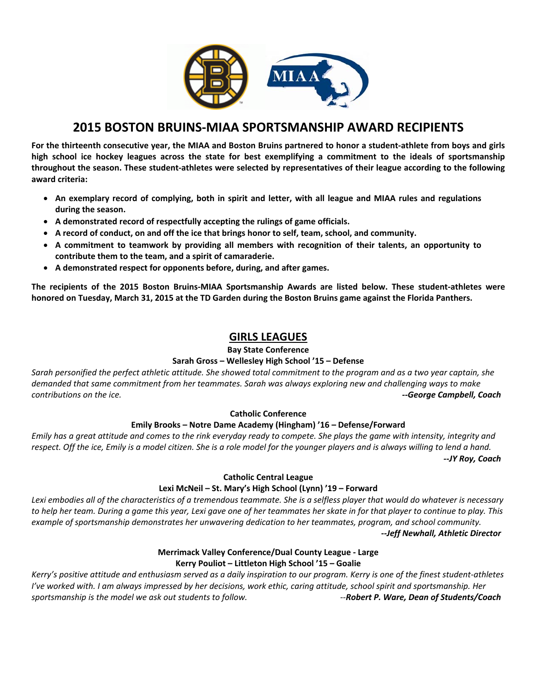

# **2015 BOSTON BRUINS‐MIAA SPORTSMANSHIP AWARD RECIPIENTS**

For the thirteenth consecutive year, the MIAA and Boston Bruins partnered to honor a student-athlete from boys and girls high school ice hockey leagues across the state for best exemplifying a commitment to the ideals of sportsmanship throughout the season. These student-athletes were selected by representatives of their league according to the following **award criteria:** 

- An exemplary record of complying, both in spirit and letter, with all league and MIAA rules and regulations **during the season.**
- **A demonstrated record of respectfully accepting the rulings of game officials.**
- **A record of conduct, on and off the ice that brings honor to self, team, school, and community.**
- **A commitment to teamwork by providing all members with recognition of their talents, an opportunity to contribute them to the team, and a spirit of camaraderie.**
- **A demonstrated respect for opponents before, during, and after games.**

The recipients of the 2015 Boston Bruins-MIAA Sportsmanship Awards are listed below. These student-athletes were honored on Tuesday, March 31, 2015 at the TD Garden during the Boston Bruins game against the Florida Panthers.

## **GIRLS LEAGUES**

**Bay State Conference**

#### **Sarah Gross – Wellesley High School '15 – Defense**

Sarah personified the perfect athletic attitude. She showed total commitment to the program and as a two year captain, she demanded that same commitment from her teammates. Sarah was always exploring new and challenging ways to make *contributions on the ice. ‐‐George Campbell, Coach*

#### **Catholic Conference**

## **Emily Brooks – Notre Dame Academy (Hingham) '16 – Defense/Forward**

Emily has a great attitude and comes to the rink everyday ready to compete. She plays the game with intensity, integrity and respect. Off the ice, Emily is a model citizen. She is a role model for the younger players and is always willing to lend a hand.  *‐‐JY Roy, Coach*

#### **Catholic Central League**

#### **Lexi McNeil – St. Mary's High School (Lynn) '19 – Forward**

Lexi embodies all of the characteristics of a tremendous teammate. She is a selfless player that would do whatever is necessary to help her team. During a game this year, Lexi gave one of her teammates her skate in for that player to continue to play. This *example of sportsmanship demonstrates her unwavering dedication to her teammates, program, and school community. ‐‐Jeff Newhall, Athletic Director*

## **Merrimack Valley Conference/Dual County League ‐ Large Kerry Pouliot – Littleton High School '15 – Goalie**

Kerry's positive attitude and enthusiasm served as a daily inspiration to our program. Kerry is one of the finest student-athletes I've worked with. I am always impressed by her decisions, work ethic, caring attitude, school spirit and sportsmanship. Her *sportsmanship is the model we ask out students to follow. ‐‐Robert P. Ware, Dean of Students/Coach*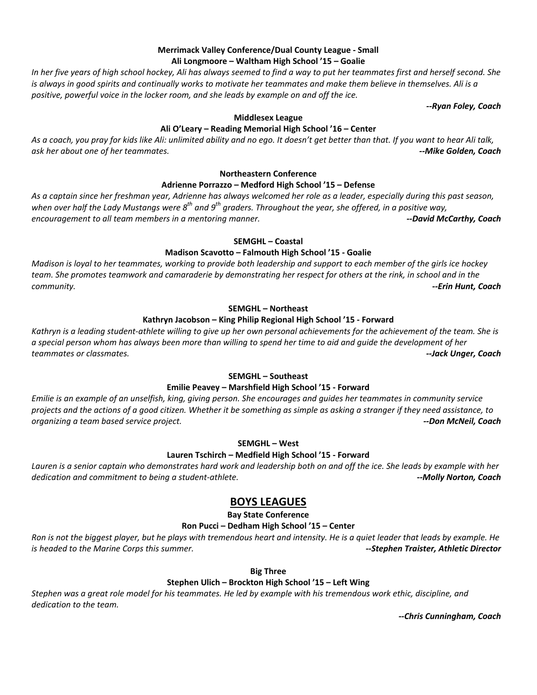#### **Merrimack Valley Conference/Dual County League ‐ Small Ali Longmoore – Waltham High School '15 – Goalie**

In her five years of high school hockey, Ali has always seemed to find a way to put her teammates first and herself second. She is always in good spirits and continually works to motivate her teammates and make them believe in themselves. Ali is a *positive, powerful voice in the locker room, and she leads by example on and off the ice.* 

 *‐‐Ryan Foley, Coach*

#### **Middlesex League**

## **Ali O'Leary – Reading Memorial High School '16 – Center**

As a coach, you pray for kids like Ali: unlimited ability and no ego. It doesn't get better than that. If you want to hear Ali talk, *ask her about one of her teammates. ‐‐Mike Golden, Coach*

#### **Northeastern Conference**

#### **Adrienne Porrazzo – Medford High School '15 – Defense**

As a captain since her freshman year, Adrienne has always welcomed her role as a leader, especially during this past season, when over half the Lady Mustangs were  $g^{th}$  and  $g^{th}$  graders. Throughout the year, she offered, in a positive way, *encouragement to all team members in a mentoring manner. ‐‐David McCarthy, Coach*

#### **SEMGHL – Coastal**

#### **Madison Scavotto – Falmouth High School '15 ‐ Goalie**

Madison is loyal to her teammates, working to provide both leadership and support to each member of the girls ice hockey team. She promotes teamwork and camaraderie by demonstrating her respect for others at the rink, in school and in the *community. ‐‐Erin Hunt, Coach*

#### **SEMGHL – Northeast**

### **Kathryn Jacobson – King Philip Regional High School '15 ‐ Forward**

Kathryn is a leading student-athlete willing to give up her own personal achievements for the achievement of the team. She is a special person whom has always been more than willing to spend her time to aid and guide the development of her *teammates or classmates. ‐‐Jack Unger, Coach*

#### **SEMGHL – Southeast**

#### **Emilie Peavey – Marshfield High School '15 ‐ Forward**

Emilie is an example of an unselfish, king, giving person. She encourages and guides her teammates in community service projects and the actions of a good citizen. Whether it be something as simple as asking a stranger if they need assistance, to *organizing a team based service project. ‐‐Don McNeil, Coach*

#### **SEMGHL – West**

#### **Lauren Tschirch – Medfield High School '15 ‐ Forward**

Lauren is a senior captain who demonstrates hard work and leadership both on and off the ice. She leads by example with her *dedication and commitment to being a student‐athlete. ‐‐Molly Norton, Coach*

## **BOYS LEAGUES**

**Bay State Conference**

#### **Ron Pucci – Dedham High School '15 – Center**

Ron is not the biggest player, but he plays with tremendous heart and intensity. He is a quiet leader that leads by example. He *is headed to the Marine Corps this summer. ‐‐Stephen Traister, Athletic Director*

#### **Big Three**

## **Stephen Ulich – Brockton High School '15 – Left Wing**

Stephen was a great role model for his teammates. He led by example with his tremendous work ethic, discipline, and *dedication to the team.* 

 *‐‐Chris Cunningham, Coach*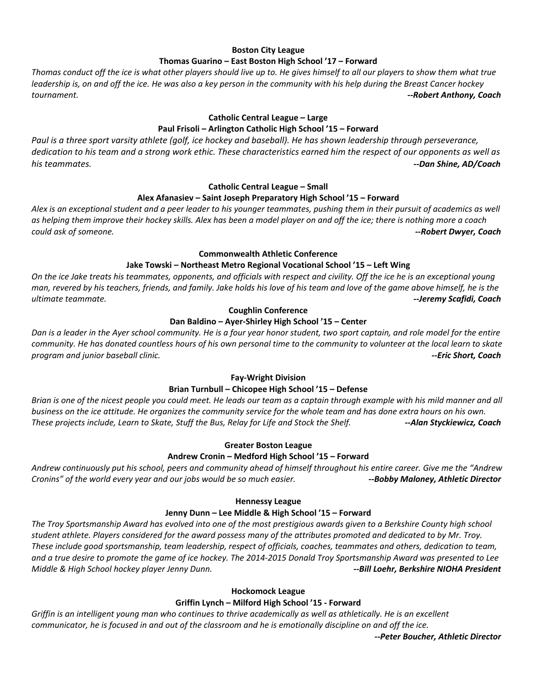#### **Boston City League Thomas Guarino – East Boston High School '17 – Forward**

Thomas conduct off the ice is what other players should live up to. He gives himself to all our players to show them what true leadership is, on and off the ice. He was also a key person in the community with his help during the Breast Cancer hockey *tournament. ‐‐Robert Anthony, Coach*

#### **Catholic Central League – Large**

## **Paul Frisoli – Arlington Catholic High School '15 – Forward**

Paul is a three sport varsity athlete (golf, ice hockey and baseball). He has shown leadership through perseverance, dedication to his team and a strong work ethic. These characteristics earned him the respect of our opponents as well as *his teammates. ‐‐Dan Shine, AD/Coach*

#### **Catholic Central League – Small**

#### **Alex Afanasiev – Saint Joseph Preparatory High School '15 – Forward**

Alex is an exceptional student and a peer leader to his younger teammates, pushing them in their pursuit of academics as well as helping them improve their hockey skills. Alex has been a model player on and off the ice; there is nothing more a coach *could ask of someone. ‐‐Robert Dwyer, Coach*

#### **Commonwealth Athletic Conference**

#### **Jake Towski – Northeast Metro Regional Vocational School '15 – Left Wing**

On the ice Jake treats his teammates, opponents, and officials with respect and civility. Off the ice he is an exceptional young man, revered by his teachers, friends, and family. Jake holds his love of his team and love of the game above himself, he is the *ultimate teammate. ‐‐Jeremy Scafidi, Coach*

#### **Coughlin Conference**

#### **Dan Baldino – Ayer‐Shirley High School '15 – Center**

Dan is a leader in the Ayer school community. He is a four year honor student, two sport captain, and role model for the entire community. He has donated countless hours of his own personal time to the community to volunteer at the local learn to skate *program and junior baseball clinic. ‐‐Eric Short, Coach*

#### **Fay‐Wright Division**

#### **Brian Turnbull – Chicopee High School '15 – Defense**

Brian is one of the nicest people you could meet. He leads our team as a captain through example with his mild manner and all business on the ice attitude. He organizes the community service for the whole team and has done extra hours on his own. These projects include, Learn to Skate, Stuff the Bus, Relay for Life and Stock the Shelf. **These projects include, Coach** 

#### **Greater Boston League**

#### **Andrew Cronin – Medford High School '15 – Forward**

Andrew continuously put his school, peers and community ahead of himself throughout his entire career. Give me the "Andrew Cronins" of the world every year and our jobs would be so much easier. **Example 20 and 10 and 10 and 10 and 10** and the Control of the Control of the Control of the Control of Control of the Control of the Control of the C

#### **Hennessy League**

#### **Jenny Dunn – Lee Middle & High School '15 – Forward**

The Troy Sportsmanship Award has evolved into one of the most prestigious awards given to a Berkshire County high school student athlete. Players considered for the award possess many of the attributes promoted and dedicated to by Mr. Troy. These include good sportsmanship, team leadership, respect of officials, coaches, teammates and others, dedication to team, and a true desire to promote the game of ice hockey. The 2014-2015 Donald Troy Sportsmanship Award was presented to Lee *Middle & High School hockey player Jenny Dunn. ‐‐Bill Loehr, Berkshire NIOHA President*

#### **Hockomock League**

## **Griffin Lynch – Milford High School '15 ‐ Forward**

Griffin is an intelligent young man who continues to thrive academically as well as athletically. He is an excellent communicator, he is focused in and out of the classroom and he is emotionally discipline on and off the ice.

 *‐‐Peter Boucher, Athletic Director*